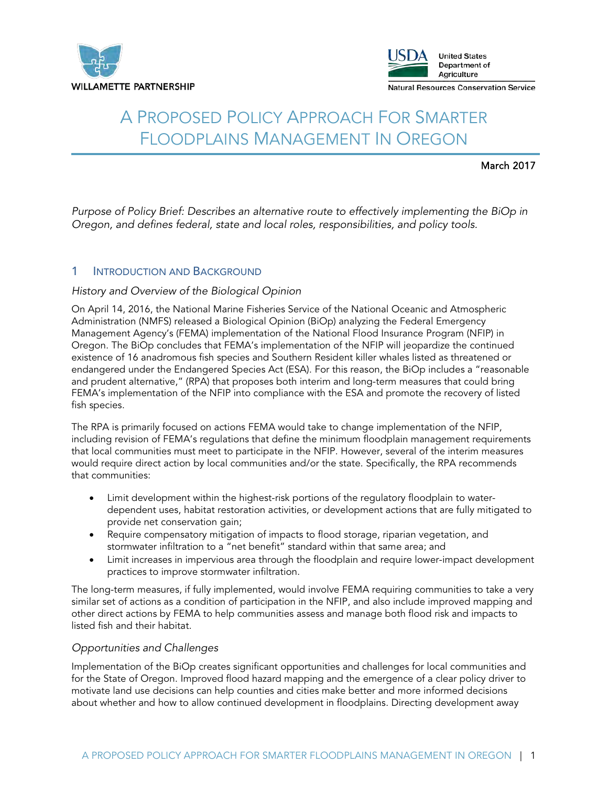



# A PROPOSED POLICY APPROACH FOR SMARTER FLOODPLAINS MANAGEMENT IN OREGON

### March 2017

*Purpose of Policy Brief: Describes an alternative route to effectively implementing the BiOp in Oregon, and defines federal, state and local roles, responsibilities, and policy tools.*

## 1 **INTRODUCTION AND BACKGROUND**

#### *History and Overview of the Biological Opinion*

On April 14, 2016, the National Marine Fisheries Service of the National Oceanic and Atmospheric Administration (NMFS) released a Biological Opinion (BiOp) analyzing the Federal Emergency Management Agency's (FEMA) implementation of the National Flood Insurance Program (NFIP) in Oregon. The BiOp concludes that FEMA's implementation of the NFIP will jeopardize the continued existence of 16 anadromous fish species and Southern Resident killer whales listed as threatened or endangered under the Endangered Species Act (ESA). For this reason, the BiOp includes a "reasonable and prudent alternative," (RPA) that proposes both interim and long-term measures that could bring FEMA's implementation of the NFIP into compliance with the ESA and promote the recovery of listed fish species.

The RPA is primarily focused on actions FEMA would take to change implementation of the NFIP, including revision of FEMA's regulations that define the minimum floodplain management requirements that local communities must meet to participate in the NFIP. However, several of the interim measures would require direct action by local communities and/or the state. Specifically, the RPA recommends that communities:

- Limit development within the highest-risk portions of the regulatory floodplain to waterdependent uses, habitat restoration activities, or development actions that are fully mitigated to provide net conservation gain;
- Require compensatory mitigation of impacts to flood storage, riparian vegetation, and stormwater infiltration to a "net benefit" standard within that same area; and
- Limit increases in impervious area through the floodplain and require lower-impact development practices to improve stormwater infiltration.

The long-term measures, if fully implemented, would involve FEMA requiring communities to take a very similar set of actions as a condition of participation in the NFIP, and also include improved mapping and other direct actions by FEMA to help communities assess and manage both flood risk and impacts to listed fish and their habitat.

#### *Opportunities and Challenges*

Implementation of the BiOp creates significant opportunities and challenges for local communities and for the State of Oregon. Improved flood hazard mapping and the emergence of a clear policy driver to motivate land use decisions can help counties and cities make better and more informed decisions about whether and how to allow continued development in floodplains. Directing development away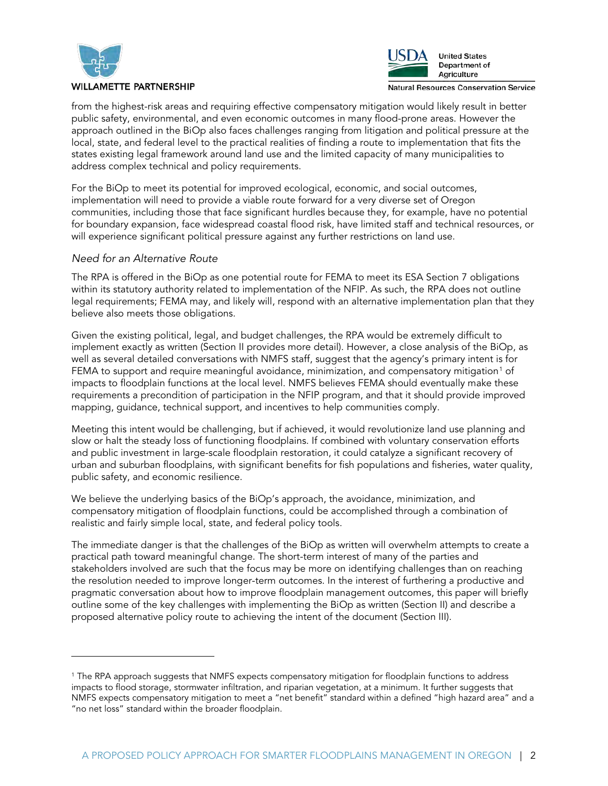

j

#### **WILLAMETTE PARTNERSHIP**



**Natural Resources Conservation Service** 

from the highest-risk areas and requiring effective compensatory mitigation would likely result in better public safety, environmental, and even economic outcomes in many flood-prone areas. However the approach outlined in the BiOp also faces challenges ranging from litigation and political pressure at the local, state, and federal level to the practical realities of finding a route to implementation that fits the states existing legal framework around land use and the limited capacity of many municipalities to address complex technical and policy requirements.

For the BiOp to meet its potential for improved ecological, economic, and social outcomes, implementation will need to provide a viable route forward for a very diverse set of Oregon communities, including those that face significant hurdles because they, for example, have no potential for boundary expansion, face widespread coastal flood risk, have limited staff and technical resources, or will experience significant political pressure against any further restrictions on land use.

#### *Need for an Alternative Route*

The RPA is offered in the BiOp as one potential route for FEMA to meet its ESA Section 7 obligations within its statutory authority related to implementation of the NFIP. As such, the RPA does not outline legal requirements; FEMA may, and likely will, respond with an alternative implementation plan that they believe also meets those obligations.

Given the existing political, legal, and budget challenges, the RPA would be extremely difficult to implement exactly as written (Section II provides more detail). However, a close analysis of the BiOp, as well as several detailed conversations with NMFS staff, suggest that the agency's primary intent is for FEMA to support and require meaningful avoidance, minimization, and compensatory mitigation<sup>[1](#page-1-0)</sup> of impacts to floodplain functions at the local level. NMFS believes FEMA should eventually make these requirements a precondition of participation in the NFIP program, and that it should provide improved mapping, guidance, technical support, and incentives to help communities comply.

Meeting this intent would be challenging, but if achieved, it would revolutionize land use planning and slow or halt the steady loss of functioning floodplains. If combined with voluntary conservation efforts and public investment in large-scale floodplain restoration, it could catalyze a significant recovery of urban and suburban floodplains, with significant benefits for fish populations and fisheries, water quality, public safety, and economic resilience.

We believe the underlying basics of the BiOp's approach, the avoidance, minimization, and compensatory mitigation of floodplain functions, could be accomplished through a combination of realistic and fairly simple local, state, and federal policy tools.

The immediate danger is that the challenges of the BiOp as written will overwhelm attempts to create a practical path toward meaningful change. The short-term interest of many of the parties and stakeholders involved are such that the focus may be more on identifying challenges than on reaching the resolution needed to improve longer-term outcomes. In the interest of furthering a productive and pragmatic conversation about how to improve floodplain management outcomes, this paper will briefly outline some of the key challenges with implementing the BiOp as written (Section II) and describe a proposed alternative policy route to achieving the intent of the document (Section III).

<span id="page-1-0"></span><sup>1</sup> The RPA approach suggests that NMFS expects compensatory mitigation for floodplain functions to address impacts to flood storage, stormwater infiltration, and riparian vegetation, at a minimum. It further suggests that NMFS expects compensatory mitigation to meet a "net benefit" standard within a defined "high hazard area" and a "no net loss" standard within the broader floodplain.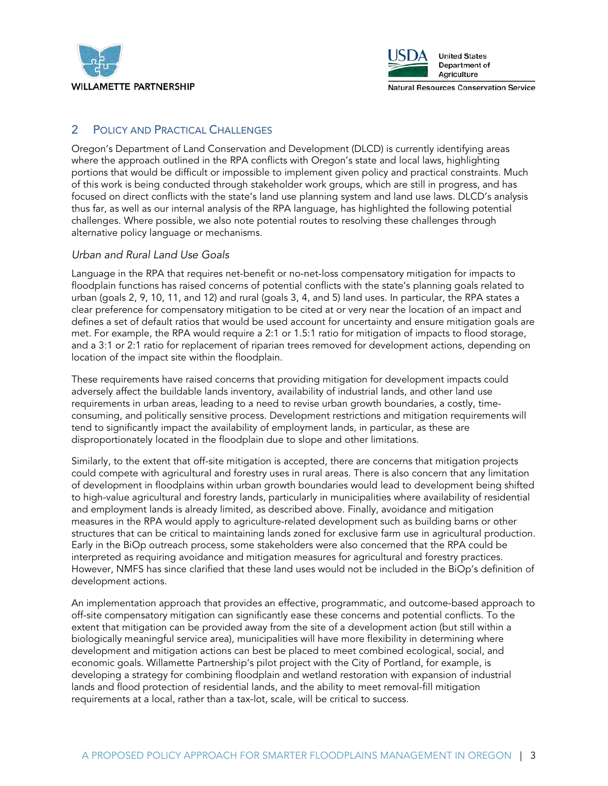



**Natural Resources Conservation Service** 

# 2 POLICY AND PRACTICAL CHALLENGES

Oregon's Department of Land Conservation and Development (DLCD) is currently identifying areas where the approach outlined in the RPA conflicts with Oregon's state and local laws, highlighting portions that would be difficult or impossible to implement given policy and practical constraints. Much of this work is being conducted through stakeholder work groups, which are still in progress, and has focused on direct conflicts with the state's land use planning system and land use laws. DLCD's analysis thus far, as well as our internal analysis of the RPA language, has highlighted the following potential challenges. Where possible, we also note potential routes to resolving these challenges through alternative policy language or mechanisms.

## *Urban and Rural Land Use Goals*

Language in the RPA that requires net-benefit or no-net-loss compensatory mitigation for impacts to floodplain functions has raised concerns of potential conflicts with the state's planning goals related to urban (goals 2, 9, 10, 11, and 12) and rural (goals 3, 4, and 5) land uses. In particular, the RPA states a clear preference for compensatory mitigation to be cited at or very near the location of an impact and defines a set of default ratios that would be used account for uncertainty and ensure mitigation goals are met. For example, the RPA would require a 2:1 or 1.5:1 ratio for mitigation of impacts to flood storage, and a 3:1 or 2:1 ratio for replacement of riparian trees removed for development actions, depending on location of the impact site within the floodplain.

These requirements have raised concerns that providing mitigation for development impacts could adversely affect the buildable lands inventory, availability of industrial lands, and other land use requirements in urban areas, leading to a need to revise urban growth boundaries, a costly, timeconsuming, and politically sensitive process. Development restrictions and mitigation requirements will tend to significantly impact the availability of employment lands, in particular, as these are disproportionately located in the floodplain due to slope and other limitations.

Similarly, to the extent that off-site mitigation is accepted, there are concerns that mitigation projects could compete with agricultural and forestry uses in rural areas. There is also concern that any limitation of development in floodplains within urban growth boundaries would lead to development being shifted to high-value agricultural and forestry lands, particularly in municipalities where availability of residential and employment lands is already limited, as described above. Finally, avoidance and mitigation measures in the RPA would apply to agriculture-related development such as building barns or other structures that can be critical to maintaining lands zoned for exclusive farm use in agricultural production. Early in the BiOp outreach process, some stakeholders were also concerned that the RPA could be interpreted as requiring avoidance and mitigation measures for agricultural and forestry practices. However, NMFS has since clarified that these land uses would not be included in the BiOp's definition of development actions.

An implementation approach that provides an effective, programmatic, and outcome-based approach to off-site compensatory mitigation can significantly ease these concerns and potential conflicts. To the extent that mitigation can be provided away from the site of a development action (but still within a biologically meaningful service area), municipalities will have more flexibility in determining where development and mitigation actions can best be placed to meet combined ecological, social, and economic goals. Willamette Partnership's pilot project with the City of Portland, for example, is developing a strategy for combining floodplain and wetland restoration with expansion of industrial lands and flood protection of residential lands, and the ability to meet removal-fill mitigation requirements at a local, rather than a tax-lot, scale, will be critical to success.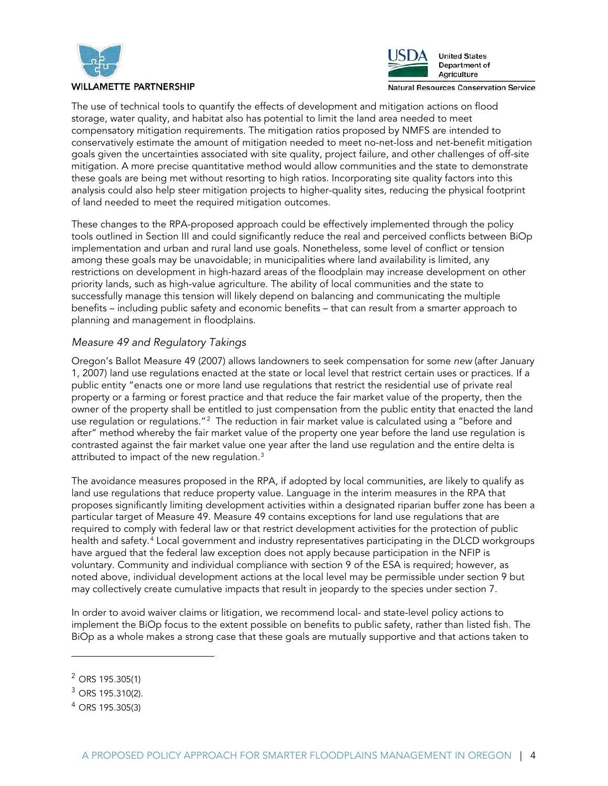



**Natural Resources Conservation Service** 

The use of technical tools to quantify the effects of development and mitigation actions on flood storage, water quality, and habitat also has potential to limit the land area needed to meet compensatory mitigation requirements. The mitigation ratios proposed by NMFS are intended to conservatively estimate the amount of mitigation needed to meet no-net-loss and net-benefit mitigation goals given the uncertainties associated with site quality, project failure, and other challenges of off-site mitigation. A more precise quantitative method would allow communities and the state to demonstrate these goals are being met without resorting to high ratios. Incorporating site quality factors into this analysis could also help steer mitigation projects to higher-quality sites, reducing the physical footprint of land needed to meet the required mitigation outcomes.

These changes to the RPA-proposed approach could be effectively implemented through the policy tools outlined in Section III and could significantly reduce the real and perceived conflicts between BiOp implementation and urban and rural land use goals. Nonetheless, some level of conflict or tension among these goals may be unavoidable; in municipalities where land availability is limited, any restrictions on development in high-hazard areas of the floodplain may increase development on other priority lands, such as high-value agriculture. The ability of local communities and the state to successfully manage this tension will likely depend on balancing and communicating the multiple benefits – including public safety and economic benefits – that can result from a smarter approach to planning and management in floodplains.

#### *Measure 49 and Regulatory Takings*

Oregon's Ballot Measure 49 (2007) allows landowners to seek compensation for some *new* (after January 1, 2007) land use regulations enacted at the state or local level that restrict certain uses or practices. If a public entity "enacts one or more land use regulations that restrict the residential use of private real property or a farming or forest practice and that reduce the fair market value of the property, then the owner of the property shall be entitled to just compensation from the public entity that enacted the land use regulation or regulations." $^2$  $^2$  The reduction in fair market value is calculated using a "before and after" method whereby the fair market value of the property one year before the land use regulation is contrasted against the fair market value one year after the land use regulation and the entire delta is attributed to impact of the new regulation. $3$ 

The avoidance measures proposed in the RPA, if adopted by local communities, are likely to qualify as land use regulations that reduce property value. Language in the interim measures in the RPA that proposes significantly limiting development activities within a designated riparian buffer zone has been a particular target of Measure 49. Measure 49 contains exceptions for land use regulations that are required to comply with federal law or that restrict development activities for the protection of public health and safety.<sup>[4](#page-3-2)</sup> Local government and industry representatives participating in the DLCD workgroups have argued that the federal law exception does not apply because participation in the NFIP is voluntary. Community and individual compliance with section 9 of the ESA is required; however, as noted above, individual development actions at the local level may be permissible under section 9 but may collectively create cumulative impacts that result in jeopardy to the species under section 7.

In order to avoid waiver claims or litigation, we recommend local- and state-level policy actions to implement the BiOp focus to the extent possible on benefits to public safety, rather than listed fish. The BiOp as a whole makes a strong case that these goals are mutually supportive and that actions taken to

j

<span id="page-3-0"></span><sup>2</sup> ORS 195.305(1)

<span id="page-3-1"></span><sup>3</sup> ORS 195.310(2).

<span id="page-3-2"></span><sup>4</sup> ORS 195.305(3)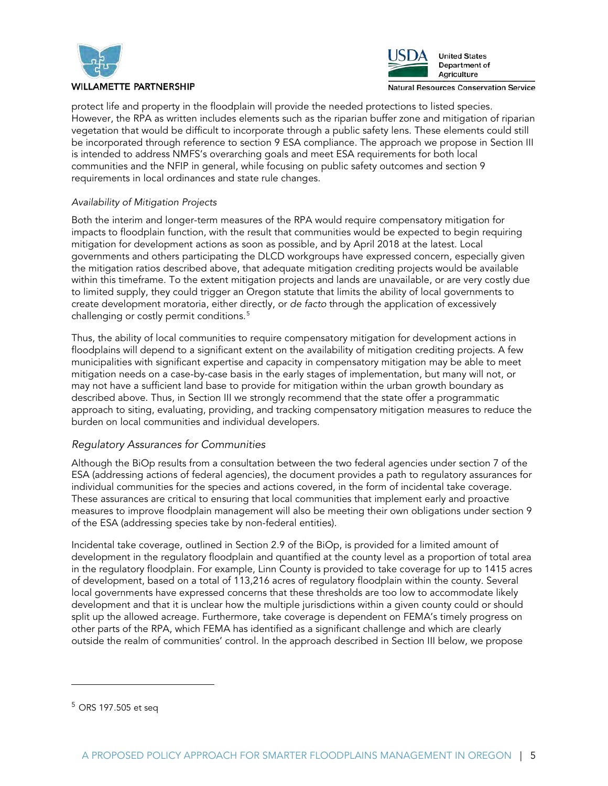



**Natural Resources Conservation Service** 

protect life and property in the floodplain will provide the needed protections to listed species. However, the RPA as written includes elements such as the riparian buffer zone and mitigation of riparian vegetation that would be difficult to incorporate through a public safety lens. These elements could still be incorporated through reference to section 9 ESA compliance. The approach we propose in Section III is intended to address NMFS's overarching goals and meet ESA requirements for both local communities and the NFIP in general, while focusing on public safety outcomes and section 9 requirements in local ordinances and state rule changes.

### *Availability of Mitigation Projects*

Both the interim and longer-term measures of the RPA would require compensatory mitigation for impacts to floodplain function, with the result that communities would be expected to begin requiring mitigation for development actions as soon as possible, and by April 2018 at the latest. Local governments and others participating the DLCD workgroups have expressed concern, especially given the mitigation ratios described above, that adequate mitigation crediting projects would be available within this timeframe. To the extent mitigation projects and lands are unavailable, or are very costly due to limited supply, they could trigger an Oregon statute that limits the ability of local governments to create development moratoria, either directly, or *de facto* through the application of excessively challenging or costly permit conditions.<sup>[5](#page-4-0)</sup>

Thus, the ability of local communities to require compensatory mitigation for development actions in floodplains will depend to a significant extent on the availability of mitigation crediting projects. A few municipalities with significant expertise and capacity in compensatory mitigation may be able to meet mitigation needs on a case-by-case basis in the early stages of implementation, but many will not, or may not have a sufficient land base to provide for mitigation within the urban growth boundary as described above. Thus, in Section III we strongly recommend that the state offer a programmatic approach to siting, evaluating, providing, and tracking compensatory mitigation measures to reduce the burden on local communities and individual developers.

# *Regulatory Assurances for Communities*

Although the BiOp results from a consultation between the two federal agencies under section 7 of the ESA (addressing actions of federal agencies), the document provides a path to regulatory assurances for individual communities for the species and actions covered, in the form of incidental take coverage. These assurances are critical to ensuring that local communities that implement early and proactive measures to improve floodplain management will also be meeting their own obligations under section 9 of the ESA (addressing species take by non-federal entities).

Incidental take coverage, outlined in Section 2.9 of the BiOp, is provided for a limited amount of development in the regulatory floodplain and quantified at the county level as a proportion of total area in the regulatory floodplain. For example, Linn County is provided to take coverage for up to 1415 acres of development, based on a total of 113,216 acres of regulatory floodplain within the county. Several local governments have expressed concerns that these thresholds are too low to accommodate likely development and that it is unclear how the multiple jurisdictions within a given county could or should split up the allowed acreage. Furthermore, take coverage is dependent on FEMA's timely progress on other parts of the RPA, which FEMA has identified as a significant challenge and which are clearly outside the realm of communities' control. In the approach described in Section III below, we propose

-

<span id="page-4-0"></span><sup>5</sup> ORS 197.505 et seq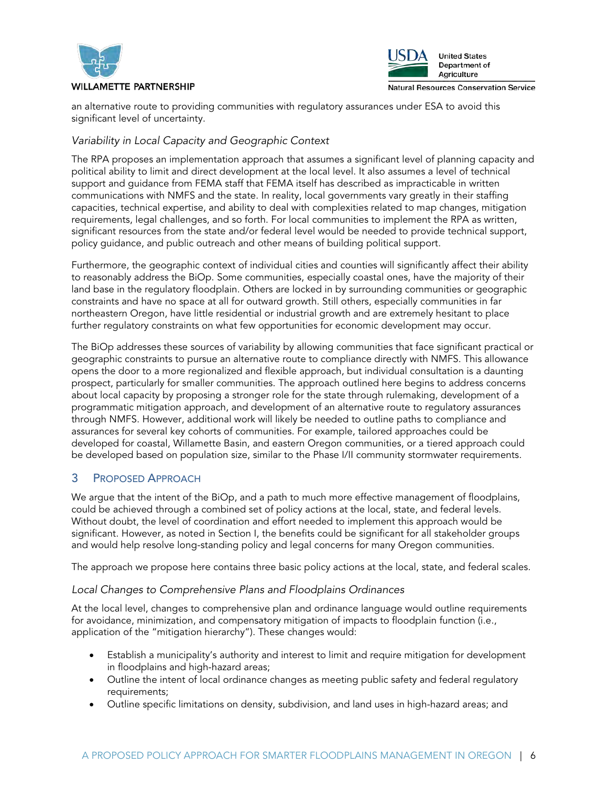



an alternative route to providing communities with regulatory assurances under ESA to avoid this significant level of uncertainty.

# *Variability in Local Capacity and Geographic Context*

The RPA proposes an implementation approach that assumes a significant level of planning capacity and political ability to limit and direct development at the local level. It also assumes a level of technical support and guidance from FEMA staff that FEMA itself has described as impracticable in written communications with NMFS and the state. In reality, local governments vary greatly in their staffing capacities, technical expertise, and ability to deal with complexities related to map changes, mitigation requirements, legal challenges, and so forth. For local communities to implement the RPA as written, significant resources from the state and/or federal level would be needed to provide technical support, policy guidance, and public outreach and other means of building political support.

Furthermore, the geographic context of individual cities and counties will significantly affect their ability to reasonably address the BiOp. Some communities, especially coastal ones, have the majority of their land base in the regulatory floodplain. Others are locked in by surrounding communities or geographic constraints and have no space at all for outward growth. Still others, especially communities in far northeastern Oregon, have little residential or industrial growth and are extremely hesitant to place further regulatory constraints on what few opportunities for economic development may occur.

The BiOp addresses these sources of variability by allowing communities that face significant practical or geographic constraints to pursue an alternative route to compliance directly with NMFS. This allowance opens the door to a more regionalized and flexible approach, but individual consultation is a daunting prospect, particularly for smaller communities. The approach outlined here begins to address concerns about local capacity by proposing a stronger role for the state through rulemaking, development of a programmatic mitigation approach, and development of an alternative route to regulatory assurances through NMFS. However, additional work will likely be needed to outline paths to compliance and assurances for several key cohorts of communities. For example, tailored approaches could be developed for coastal, Willamette Basin, and eastern Oregon communities, or a tiered approach could be developed based on population size, similar to the Phase I/II community stormwater requirements.

# 3 PROPOSED APPROACH

We argue that the intent of the BiOp, and a path to much more effective management of floodplains, could be achieved through a combined set of policy actions at the local, state, and federal levels. Without doubt, the level of coordination and effort needed to implement this approach would be significant. However, as noted in Section I, the benefits could be significant for all stakeholder groups and would help resolve long-standing policy and legal concerns for many Oregon communities.

The approach we propose here contains three basic policy actions at the local, state, and federal scales.

# *Local Changes to Comprehensive Plans and Floodplains Ordinances*

At the local level, changes to comprehensive plan and ordinance language would outline requirements for avoidance, minimization, and compensatory mitigation of impacts to floodplain function (i.e., application of the "mitigation hierarchy"). These changes would:

- Establish a municipality's authority and interest to limit and require mitigation for development in floodplains and high-hazard areas;
- Outline the intent of local ordinance changes as meeting public safety and federal regulatory requirements;
- Outline specific limitations on density, subdivision, and land uses in high-hazard areas; and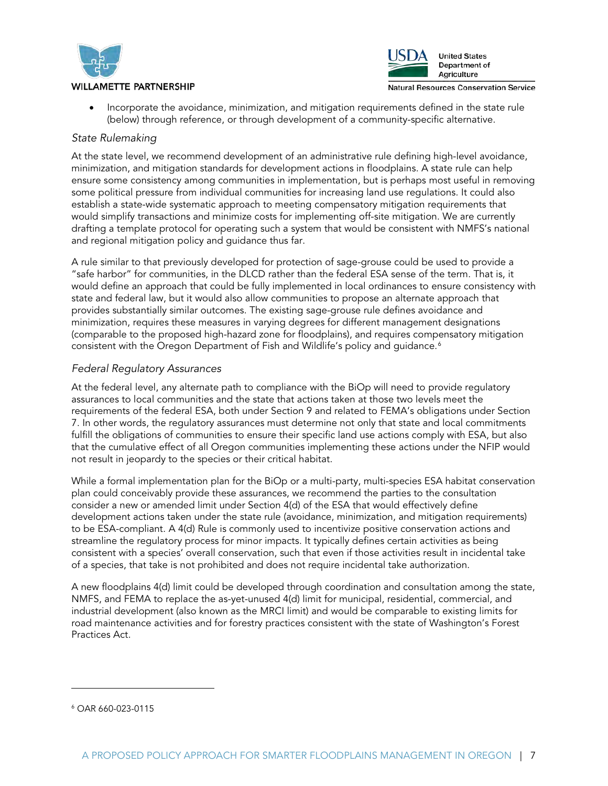



• Incorporate the avoidance, minimization, and mitigation requirements defined in the state rule (below) through reference, or through development of a community-specific alternative.

#### *State Rulemaking*

At the state level, we recommend development of an administrative rule defining high-level avoidance, minimization, and mitigation standards for development actions in floodplains. A state rule can help ensure some consistency among communities in implementation, but is perhaps most useful in removing some political pressure from individual communities for increasing land use regulations. It could also establish a state-wide systematic approach to meeting compensatory mitigation requirements that would simplify transactions and minimize costs for implementing off-site mitigation. We are currently drafting a template protocol for operating such a system that would be consistent with NMFS's national and regional mitigation policy and guidance thus far.

A rule similar to that previously developed for protection of sage-grouse could be used to provide a "safe harbor" for communities, in the DLCD rather than the federal ESA sense of the term. That is, it would define an approach that could be fully implemented in local ordinances to ensure consistency with state and federal law, but it would also allow communities to propose an alternate approach that provides substantially similar outcomes. The existing sage-grouse rule defines avoidance and minimization, requires these measures in varying degrees for different management designations (comparable to the proposed high-hazard zone for floodplains), and requires compensatory mitigation consistent with the Oregon Department of Fish and Wildlife's policy and guidance.<sup>[6](#page-6-0)</sup>

#### *Federal Regulatory Assurances*

At the federal level, any alternate path to compliance with the BiOp will need to provide regulatory assurances to local communities and the state that actions taken at those two levels meet the requirements of the federal ESA, both under Section 9 and related to FEMA's obligations under Section 7. In other words, the regulatory assurances must determine not only that state and local commitments fulfill the obligations of communities to ensure their specific land use actions comply with ESA, but also that the cumulative effect of all Oregon communities implementing these actions under the NFIP would not result in jeopardy to the species or their critical habitat.

While a formal implementation plan for the BiOp or a multi-party, multi-species ESA habitat conservation plan could conceivably provide these assurances, we recommend the parties to the consultation consider a new or amended limit under Section 4(d) of the ESA that would effectively define development actions taken under the state rule (avoidance, minimization, and mitigation requirements) to be ESA-compliant. A 4(d) Rule is commonly used to incentivize positive conservation actions and streamline the regulatory process for minor impacts. It typically defines certain activities as being consistent with a species' overall conservation, such that even if those activities result in incidental take of a species, that take is not prohibited and does not require incidental take authorization.

A new floodplains 4(d) limit could be developed through coordination and consultation among the state, NMFS, and FEMA to replace the as-yet-unused 4(d) limit for municipal, residential, commercial, and industrial development (also known as the MRCI limit) and would be comparable to existing limits for road maintenance activities and for forestry practices consistent with the state of Washington's Forest Practices Act.

j

<span id="page-6-0"></span><sup>6</sup> OAR 660-023-0115